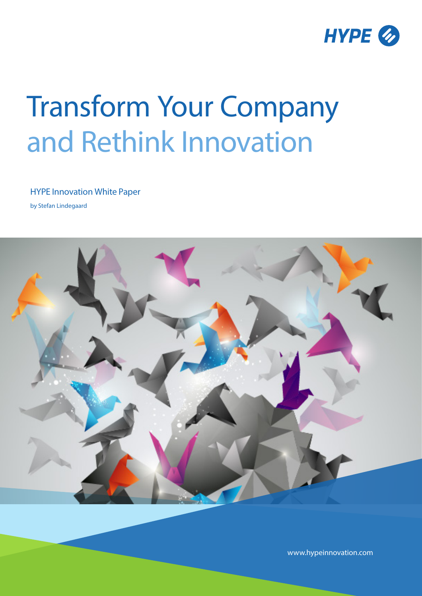

# Transform Your Company and Rethink Innovation

HYPE Innovation White Paper

by Stefan Lindegaard



www.hypeinnovation.com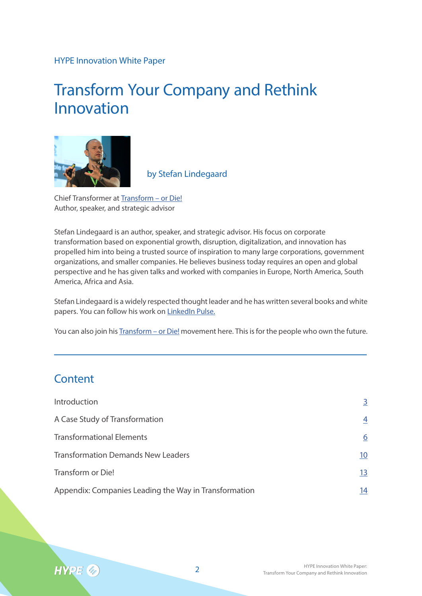#### HYPE Innovation White Paper

## Transform Your Company and Rethink Innovation



by Stefan Lindegaard

Chief Transformer at Transform – or Die! Author, speaker, and strategic advisor

Stefan Lindegaard is an author, speaker, and strategic advisor. His focus on corporate transformation based on exponential growth, disruption, digitalization, and innovation has propelled him into being a trusted source of inspiration to many large corporations, government organizations, and smaller companies. He believes business today requires an open and global perspective and he has given talks and worked with companies in Europe, North America, South America, Africa and Asia.

Stefan Lindegaard is a widely respected thought leader and he has written several books and white papers. You can follow his work on LinkedIn Pulse.

You can also join his **Transform – or Die!** movement here. This is for the people who own the future.

## **Content**

| Introduction                                          | 3              |
|-------------------------------------------------------|----------------|
| A Case Study of Transformation                        | $\overline{4}$ |
| <b>Transformational Elements</b>                      | 6              |
| <b>Transformation Demands New Leaders</b>             | 10             |
| Transform or Die!                                     | <u>13</u>      |
| Appendix: Companies Leading the Way in Transformation | 14             |

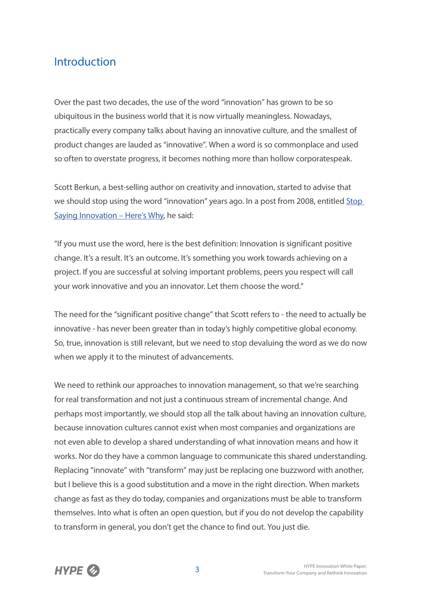## Introduction

Over the past two decades, the use of the word "innovation" has grown to be so ubiquitous in the business world that it is now virtually meaningless. Nowadays, practically every company talks about having an innovative culture, and the smallest of product changes are lauded as "innovative". When a word is so commonplace and used so often to overstate progress, it becomes nothing more than hollow corporatespeak.

Scott Berkun, a best-selling author on creativity and innovation, started to advise that we should stop using the word "innovation" years ago. In a post from 2008, entitled Stop Saying Innovation – Here's Why, he said:

"If you must use the word, here is the best definition: Innovation is significant positive change. It's a result. It's an outcome. It's something you work towards achieving on a project. If you are successful at solving important problems, peers you respect will call your work innovative and you an innovator. Let them choose the word."

The need for the "significant positive change" that Scott refers to - the need to actually be innovative - has never been greater than in today's highly competitive global economy. So, true, innovation is still relevant, but we need to stop devaluing the word as we do now when we apply it to the minutest of advancements.

We need to rethink our approaches to innovation management, so that we're searching for real transformation and not just a continuous stream of incremental change. And perhaps most importantly, we should stop all the talk about having an innovation culture, because innovation cultures cannot exist when most companies and organizations are not even able to develop a shared understanding of what innovation means and how it works. Nor do they have a common language to communicate this shared understanding. Replacing "innovate" with "transform" may just be replacing one buzzword with another, but I believe this is a good substitution and a move in the right direction. When markets change as fast as they do today, companies and organizations must be able to transform themselves. Into what is often an open question, but if you do not develop the capability to transform in general, you don't get the chance to find out. You just die.

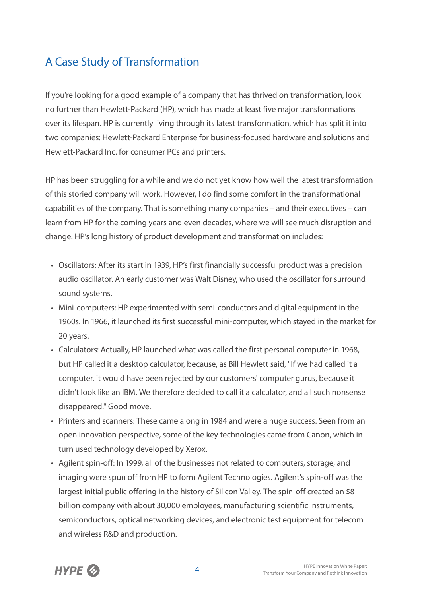## A Case Study of Transformation

If you're looking for a good example of a company that has thrived on transformation, look no further than Hewlett-Packard (HP), which has made at least five major transformations over its lifespan. HP is currently living through its latest transformation, which has split it into two companies: Hewlett-Packard Enterprise for business-focused hardware and solutions and Hewlett-Packard Inc. for consumer PCs and printers.

HP has been struggling for a while and we do not yet know how well the latest transformation of this storied company will work. However, I do find some comfort in the transformational capabilities of the company. That is something many companies – and their executives – can learn from HP for the coming years and even decades, where we will see much disruption and change. HP's long history of product development and transformation includes:

- Oscillators: After its start in 1939, HP's first financially successful product was a precision audio oscillator. An early customer was Walt Disney, who used the oscillator for surround sound systems.
- Mini-computers: HP experimented with semi-conductors and digital equipment in the 1960s. In 1966, it launched its first successful mini-computer, which stayed in the market for 20 years.
- Calculators: Actually, HP launched what was called the first personal computer in 1968, but HP called it a desktop calculator, because, as Bill Hewlett said, "If we had called it a computer, it would have been rejected by our customers' computer gurus, because it didn't look like an IBM. We therefore decided to call it a calculator, and all such nonsense disappeared." Good move.
- Printers and scanners: These came along in 1984 and were a huge success. Seen from an open innovation perspective, some of the key technologies came from Canon, which in turn used technology developed by Xerox.
- Agilent spin-off: In 1999, all of the businesses not related to computers, storage, and imaging were spun off from HP to form Agilent Technologies. Agilent's spin-off was the largest initial public offering in the history of Silicon Valley. The spin-off created an \$8 billion company with about 30,000 employees, manufacturing scientific instruments, semiconductors, optical networking devices, and electronic test equipment for telecom and wireless R&D and production.

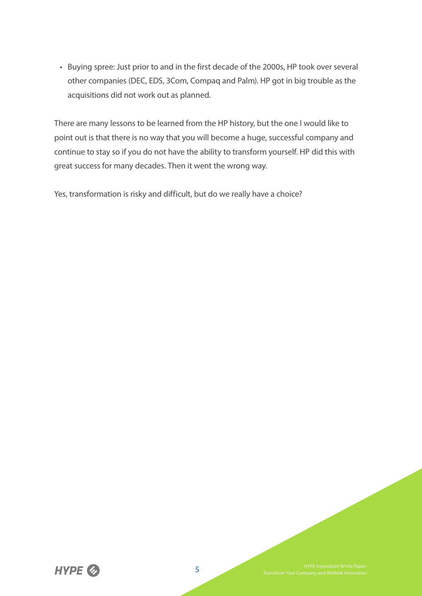• Buying spree: Just prior to and in the first decade of the 2000s, HP took over several other companies (DEC, EDS, 3Com, Compaq and Palm). HP got in big trouble as the acquisitions did not work out as planned.

There are many lessons to be learned from the HP history, but the one I would like to point out is that there is no way that you will become a huge, successful company and continue to stay so if you do not have the ability to transform yourself. HP did this with great success for many decades. Then it went the wrong way.

Yes, transformation is risky and difficult, but do we really have a choice?

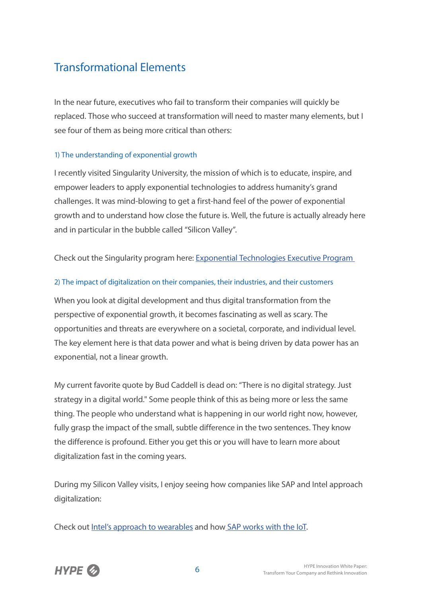## Transformational Elements

In the near future, executives who fail to transform their companies will quickly be replaced. Those who succeed at transformation will need to master many elements, but I see four of them as being more critical than others:

#### 1) The understanding of exponential growth

I recently visited Singularity University, the mission of which is to educate, inspire, and empower leaders to apply exponential technologies to address humanity's grand challenges. It was mind-blowing to get a first-hand feel of the power of exponential growth and to understand how close the future is. Well, the future is actually already here and in particular in the bubble called "Silicon Valley".

Check out the Singularity program here: Exponential Technologies Executive Program

#### 2) The impact of digitalization on their companies, their industries, and their customers

When you look at digital development and thus digital transformation from the perspective of exponential growth, it becomes fascinating as well as scary. The opportunities and threats are everywhere on a societal, corporate, and individual level. The key element here is that data power and what is being driven by data power has an exponential, not a linear growth.

My current favorite quote by Bud Caddell is dead on: "There is no digital strategy. Just strategy in a digital world." Some people think of this as being more or less the same thing. The people who understand what is happening in our world right now, however, fully grasp the impact of the small, subtle difference in the two sentences. They know the difference is profound. Either you get this or you will have to learn more about digitalization fast in the coming years.

During my Silicon Valley visits, I enjoy seeing how companies like SAP and Intel approach digitalization:

Check out Intel's approach to wearables and how SAP works with the IoT.

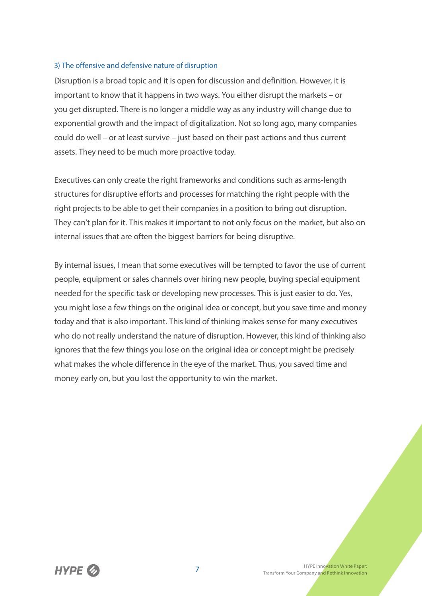#### 3) The offensive and defensive nature of disruption

Disruption is a broad topic and it is open for discussion and definition. However, it is important to know that it happens in two ways. You either disrupt the markets – or you get disrupted. There is no longer a middle way as any industry will change due to exponential growth and the impact of digitalization. Not so long ago, many companies could do well – or at least survive – just based on their past actions and thus current assets. They need to be much more proactive today.

Executives can only create the right frameworks and conditions such as arms-length structures for disruptive efforts and processes for matching the right people with the right projects to be able to get their companies in a position to bring out disruption. They can't plan for it. This makes it important to not only focus on the market, but also on internal issues that are often the biggest barriers for being disruptive.

By internal issues, I mean that some executives will be tempted to favor the use of current people, equipment or sales channels over hiring new people, buying special equipment needed for the specific task or developing new processes. This is just easier to do. Yes, you might lose a few things on the original idea or concept, but you save time and money today and that is also important. This kind of thinking makes sense for many executives who do not really understand the nature of disruption. However, this kind of thinking also ignores that the few things you lose on the original idea or concept might be precisely what makes the whole difference in the eye of the market. Thus, you saved time and money early on, but you lost the opportunity to win the market.

**HVPF**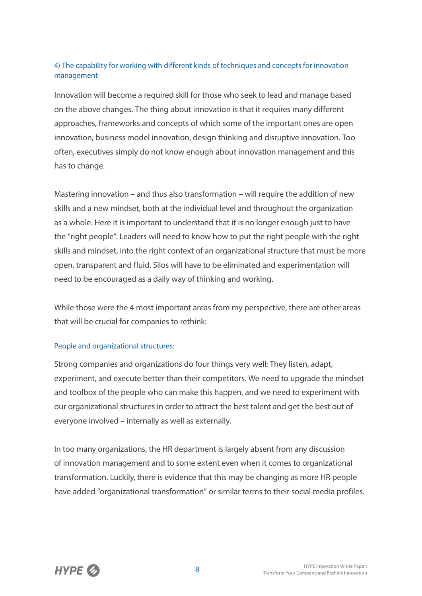#### 4) The capability for working with different kinds of techniques and concepts for innovation management

Innovation will become a required skill for those who seek to lead and manage based on the above changes. The thing about innovation is that it requires many different approaches, frameworks and concepts of which some of the important ones are open innovation, business model innovation, design thinking and disruptive innovation. Too often, executives simply do not know enough about innovation management and this has to change.

Mastering innovation – and thus also transformation – will require the addition of new skills and a new mindset, both at the individual level and throughout the organization as a whole. Here it is important to understand that it is no longer enough just to have the "right people". Leaders will need to know how to put the right people with the right skills and mindset, into the right context of an organizational structure that must be more open, transparent and fluid. Silos will have to be eliminated and experimentation will need to be encouraged as a daily way of thinking and working.

While those were the 4 most important areas from my perspective, there are other areas that will be crucial for companies to rethink:

#### People and organizational structures:

Strong companies and organizations do four things very well: They listen, adapt, experiment, and execute better than their competitors. We need to upgrade the mindset and toolbox of the people who can make this happen, and we need to experiment with our organizational structures in order to attract the best talent and get the best out of everyone involved – internally as well as externally.

In too many organizations, the HR department is largely absent from any discussion of innovation management and to some extent even when it comes to organizational transformation. Luckily, there is evidence that this may be changing as more HR people have added "organizational transformation" or similar terms to their social media profiles.

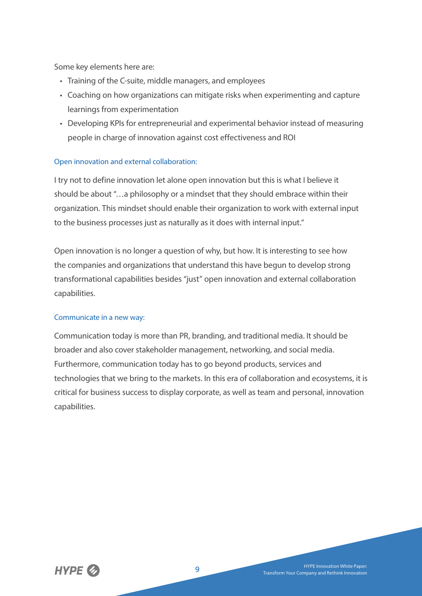Some key elements here are:

- Training of the C-suite, middle managers, and employees
- Coaching on how organizations can mitigate risks when experimenting and capture learnings from experimentation
- Developing KPIs for entrepreneurial and experimental behavior instead of measuring people in charge of innovation against cost effectiveness and ROI

#### Open innovation and external collaboration:

I try not to define innovation let alone open innovation but this is what I believe it should be about "…a philosophy or a mindset that they should embrace within their organization. This mindset should enable their organization to work with external input to the business processes just as naturally as it does with internal input."

Open innovation is no longer a question of why, but how. It is interesting to see how the companies and organizations that understand this have begun to develop strong transformational capabilities besides "just" open innovation and external collaboration capabilities.

#### Communicate in a new way:

Communication today is more than PR, branding, and traditional media. It should be broader and also cover stakeholder management, networking, and social media. Furthermore, communication today has to go beyond products, services and technologies that we bring to the markets. In this era of collaboration and ecosystems, it is critical for business success to display corporate, as well as team and personal, innovation capabilities.

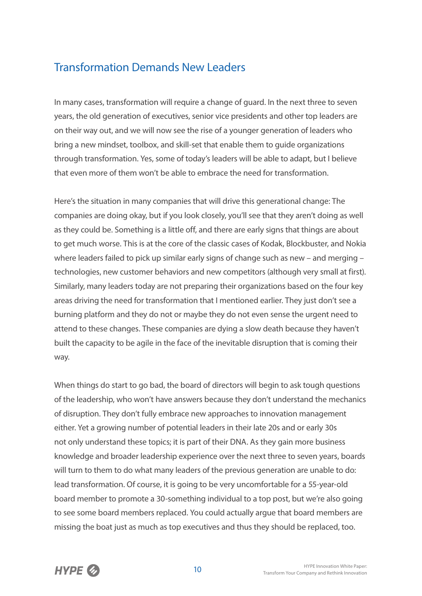## Transformation Demands New Leaders

In many cases, transformation will require a change of guard. In the next three to seven years, the old generation of executives, senior vice presidents and other top leaders are on their way out, and we will now see the rise of a younger generation of leaders who bring a new mindset, toolbox, and skill-set that enable them to guide organizations through transformation. Yes, some of today's leaders will be able to adapt, but I believe that even more of them won't be able to embrace the need for transformation.

Here's the situation in many companies that will drive this generational change: The companies are doing okay, but if you look closely, you'll see that they aren't doing as well as they could be. Something is a little off, and there are early signs that things are about to get much worse. This is at the core of the classic cases of Kodak, Blockbuster, and Nokia where leaders failed to pick up similar early signs of change such as new – and merging – technologies, new customer behaviors and new competitors (although very small at first). Similarly, many leaders today are not preparing their organizations based on the four key areas driving the need for transformation that I mentioned earlier. They just don't see a burning platform and they do not or maybe they do not even sense the urgent need to attend to these changes. These companies are dying a slow death because they haven't built the capacity to be agile in the face of the inevitable disruption that is coming their way.

When things do start to go bad, the board of directors will begin to ask tough questions of the leadership, who won't have answers because they don't understand the mechanics of disruption. They don't fully embrace new approaches to innovation management either. Yet a growing number of potential leaders in their late 20s and or early 30s not only understand these topics; it is part of their DNA. As they gain more business knowledge and broader leadership experience over the next three to seven years, boards will turn to them to do what many leaders of the previous generation are unable to do: lead transformation. Of course, it is going to be very uncomfortable for a 55-year-old board member to promote a 30-something individual to a top post, but we're also going to see some board members replaced. You could actually argue that board members are missing the boat just as much as top executives and thus they should be replaced, too.

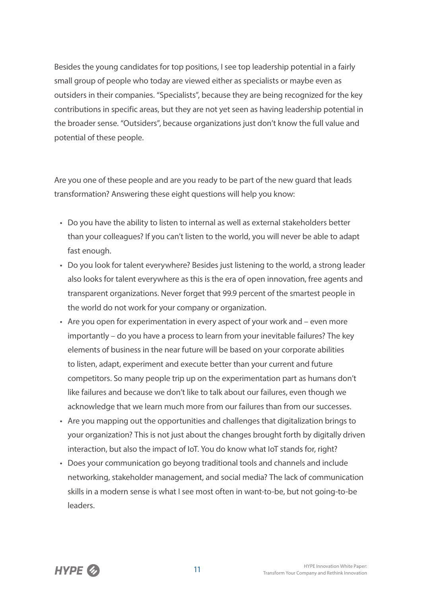Besides the young candidates for top positions, I see top leadership potential in a fairly small group of people who today are viewed either as specialists or maybe even as outsiders in their companies. "Specialists", because they are being recognized for the key contributions in specific areas, but they are not yet seen as having leadership potential in the broader sense. "Outsiders", because organizations just don't know the full value and potential of these people.

Are you one of these people and are you ready to be part of the new guard that leads transformation? Answering these eight questions will help you know:

- Do you have the ability to listen to internal as well as external stakeholders better than your colleagues? If you can't listen to the world, you will never be able to adapt fast enough.
- Do you look for talent everywhere? Besides just listening to the world, a strong leader also looks for talent everywhere as this is the era of open innovation, free agents and transparent organizations. Never forget that 99.9 percent of the smartest people in the world do not work for your company or organization.
- Are you open for experimentation in every aspect of your work and even more importantly – do you have a process to learn from your inevitable failures? The key elements of business in the near future will be based on your corporate abilities to listen, adapt, experiment and execute better than your current and future competitors. So many people trip up on the experimentation part as humans don't like failures and because we don't like to talk about our failures, even though we acknowledge that we learn much more from our failures than from our successes.
- Are you mapping out the opportunities and challenges that digitalization brings to your organization? This is not just about the changes brought forth by digitally driven interaction, but also the impact of IoT. You do know what IoT stands for, right?
- Does your communication go beyong traditional tools and channels and include networking, stakeholder management, and social media? The lack of communication skills in a modern sense is what I see most often in want-to-be, but not going-to-be leaders.

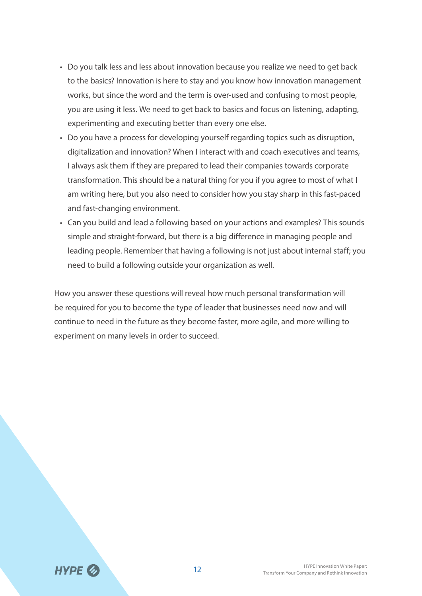- Do you talk less and less about innovation because you realize we need to get back to the basics? Innovation is here to stay and you know how innovation management works, but since the word and the term is over-used and confusing to most people, you are using it less. We need to get back to basics and focus on listening, adapting, experimenting and executing better than every one else.
- Do you have a process for developing yourself regarding topics such as disruption, digitalization and innovation? When I interact with and coach executives and teams, I always ask them if they are prepared to lead their companies towards corporate transformation. This should be a natural thing for you if you agree to most of what I am writing here, but you also need to consider how you stay sharp in this fast-paced and fast-changing environment.
- Can you build and lead a following based on your actions and examples? This sounds simple and straight-forward, but there is a big difference in managing people and leading people. Remember that having a following is not just about internal staff; you need to build a following outside your organization as well.

How you answer these questions will reveal how much personal transformation will be required for you to become the type of leader that businesses need now and will continue to need in the future as they become faster, more agile, and more willing to experiment on many levels in order to succeed.

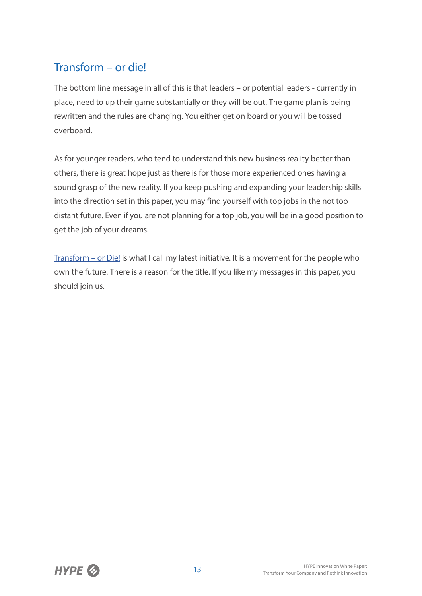## Transform – or die!

The bottom line message in all of this is that leaders – or potential leaders - currently in place, need to up their game substantially or they will be out. The game plan is being rewritten and the rules are changing. You either get on board or you will be tossed overboard.

As for younger readers, who tend to understand this new business reality better than others, there is great hope just as there is for those more experienced ones having a sound grasp of the new reality. If you keep pushing and expanding your leadership skills into the direction set in this paper, you may find yourself with top jobs in the not too distant future. Even if you are not planning for a top job, you will be in a good position to get the job of your dreams.

Transform – or Die! is what I call my latest initiative. It is a movement for the people who own the future. There is a reason for the title. If you like my messages in this paper, you should join us.

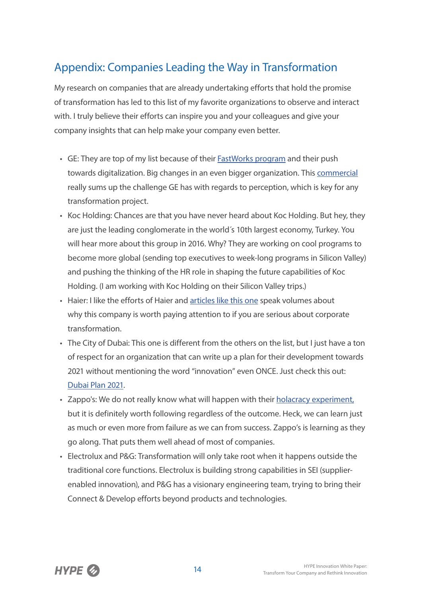## Appendix: Companies Leading the Way in Transformation

My research on companies that are already undertaking efforts that hold the promise of transformation has led to this list of my favorite organizations to observe and interact with. I truly believe their efforts can inspire you and your colleagues and give your company insights that can help make your company even better.

- GE: They are top of my list because of their FastWorks program and their push towards digitalization. Big changes in an even bigger organization. This commercial really sums up the challenge GE has with regards to perception, which is key for any transformation project.
- Koc Holding: Chances are that you have never heard about Koc Holding. But hey, they are just the leading conglomerate in the world´s 10th largest economy, Turkey. You will hear more about this group in 2016. Why? They are working on cool programs to become more global (sending top executives to week-long programs in Silicon Valley) and pushing the thinking of the HR role in shaping the future capabilities of Koc Holding. (I am working with Koc Holding on their Silicon Valley trips.)
- Haier: I like the efforts of Haier and articles like this one speak volumes about why this company is worth paying attention to if you are serious about corporate transformation.
- The City of Dubai: This one is different from the others on the list, but I just have a ton of respect for an organization that can write up a plan for their development towards 2021 without mentioning the word "innovation" even ONCE. Just check this out: Dubai Plan 2021.
- Zappo's: We do not really know what will happen with their holacracy experiment, but it is definitely worth following regardless of the outcome. Heck, we can learn just as much or even more from failure as we can from success. Zappo's is learning as they go along. That puts them well ahead of most of companies.
- Electrolux and P&G: Transformation will only take root when it happens outside the traditional core functions. Electrolux is building strong capabilities in SEI (supplierenabled innovation), and P&G has a visionary engineering team, trying to bring their Connect & Develop efforts beyond products and technologies.

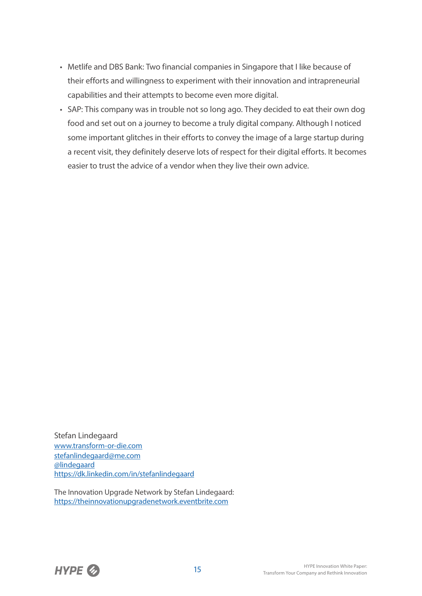- Metlife and DBS Bank: Two financial companies in Singapore that I like because of their efforts and willingness to experiment with their innovation and intrapreneurial capabilities and their attempts to become even more digital.
- SAP: This company was in trouble not so long ago. They decided to eat their own dog food and set out on a journey to become a truly digital company. Although I noticed some important glitches in their efforts to convey the image of a large startup during a recent visit, they definitely deserve lots of respect for their digital efforts. It becomes easier to trust the advice of a vendor when they live their own advice.

Stefan Lindegaard www.transform-or-die.com stefanlindegaard@me.com @lindegaard https://dk.linkedin.com/in/stefanlindegaard

The Innovation Upgrade Network by Stefan Lindegaard: https://theinnovationupgradenetwork.eventbrite.com